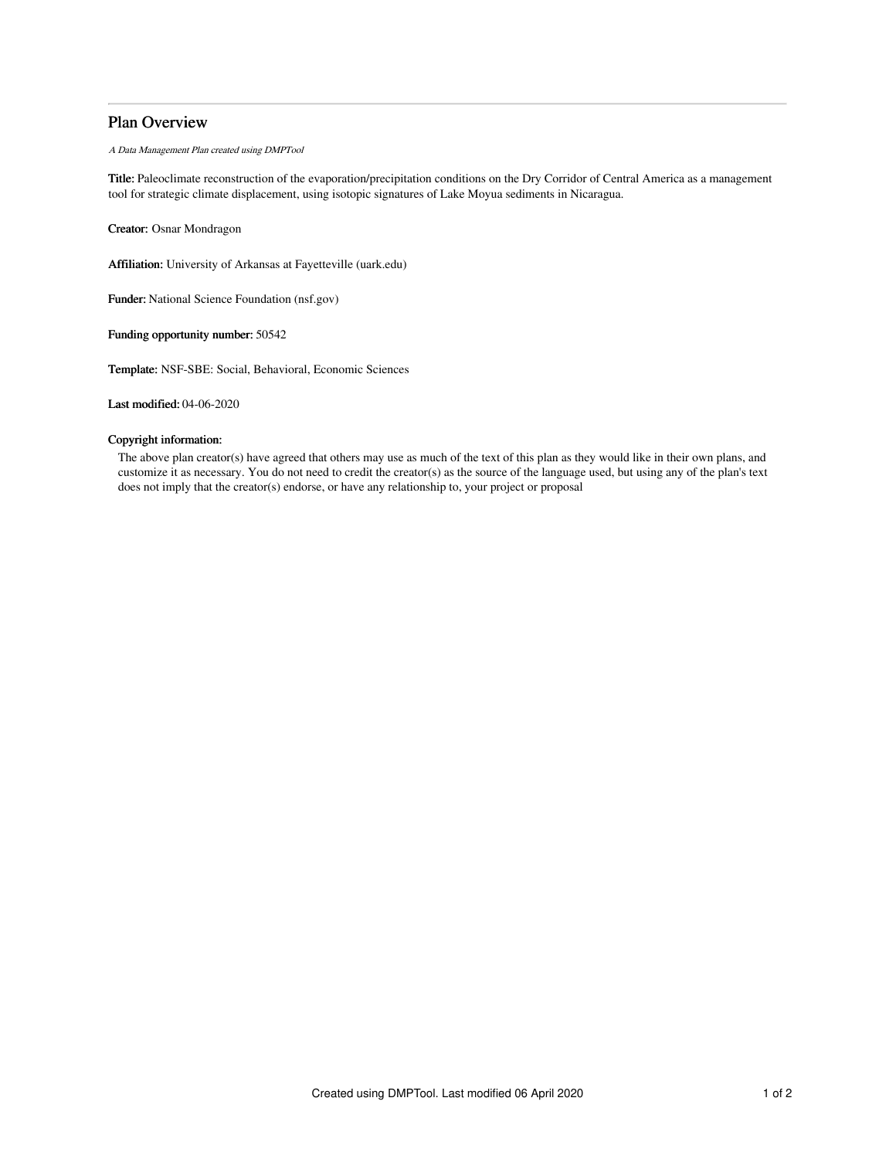# Plan Overview

A Data Management Plan created using DMPTool

Title: Paleoclimate reconstruction of the evaporation/precipitation conditions on the Dry Corridor of Central America as a management tool for strategic climate displacement, using isotopic signatures of Lake Moyua sediments in Nicaragua.

Creator: Osnar Mondragon

Affiliation: University of Arkansas at Fayetteville (uark.edu)

Funder: National Science Foundation (nsf.gov)

Funding opportunity number: 50542

Template: NSF-SBE: Social, Behavioral, Economic Sciences

Last modified: 04-06-2020

## Copyright information:

The above plan creator(s) have agreed that others may use as much of the text of this plan as they would like in their own plans, and customize it as necessary. You do not need to credit the creator(s) as the source of the language used, but using any of the plan's text does not imply that the creator(s) endorse, or have any relationship to, your project or proposal